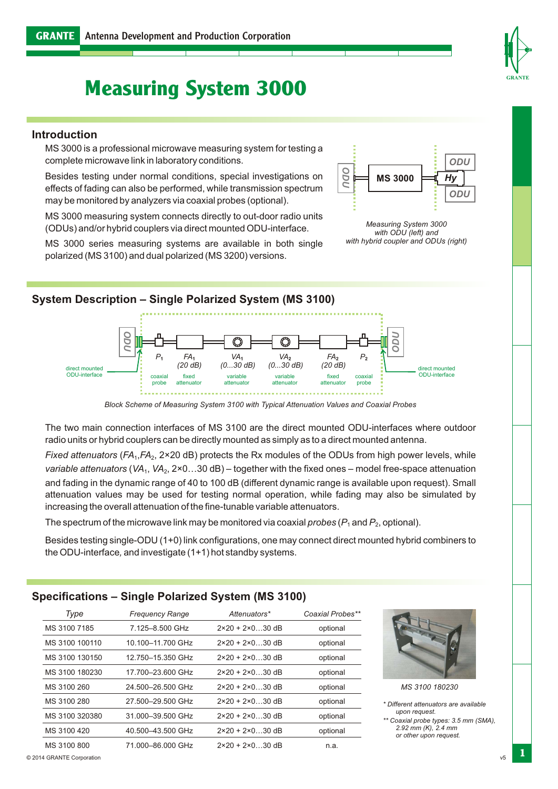# **Measuring System 3000**

#### **Introduction**

MS 3000 is a professional microwave measuring system for testing a complete microwave link in laboratory conditions.

Besides testing under normal conditions, special investigations on effects of fading can also be performed, while transmission spectrum may be monitored by analyzers via coaxial probes (optional).

MS 3000 measuring system connects directly to out-door radio units (ODUs) and/or hybrid couplers via direct mounted ODU-interface.

MS 3000 series measuring systems are available in both single polarized (MS 3100) and dual polarized (MS 3200) versions.



*Measuring System 3000 with ODU (left) and with hybrid coupler and ODUs (right)*



*Block Scheme of Measuring System 3100 with Typical Attenuation Values and Coaxial Probes*

The two main connection interfaces of MS 3100 are the direct mounted ODU-interfaces where outdoor radio units or hybrid couplers can be directly mounted as simply as to a direct mounted antenna.

*Fixed attenuators* (*FA*<sub>1</sub>, *FA*<sub>2</sub>, 2×20 dB) protects the Rx modules of the ODUs from high power levels, while *variable attenuators* (*VA*1, *VA*2, 2×0…30 dB) – together with the fixed ones – model free-space attenuation and fading in the dynamic range of 40 to 100 dB (different dynamic range is available upon request). Small attenuation values may be used for testing normal operation, while fading may also be simulated by increasing the overall attenuation of the fine-tunable variable attenuators.

The spectrum of the microwave link may be monitored via coaxial *probes*  $(P_1$  and  $P_2$ , optional).

Besides testing single-ODU (1+0) link configurations, one may connect direct mounted hybrid combiners to the ODU-interface*,*and investigate (1+1) hot standby systems.

### **Specifications – Single Polarized System (MS 3100)**

| Type           | <b>Frequency Range</b> | Attenuators*                     | Coaxial Probes** |
|----------------|------------------------|----------------------------------|------------------|
| MS 3100 7185   | 7.125-8.500 GHz        | $2 \times 20 + 2 \times 0$ 30 dB | optional         |
| MS 3100 100110 | 10.100-11.700 GHz      | $2 \times 20 + 2 \times 0$ 30 dB | optional         |
| MS 3100 130150 | 12.750-15.350 GHz      | $2 \times 20 + 2 \times 0$ 30 dB | optional         |
| MS 3100 180230 | 17.700-23.600 GHz      | $2 \times 20 + 2 \times 0$ 30 dB | optional         |
| MS 3100 260    | 24.500-26.500 GHz      | $2 \times 20 + 2 \times 0$ 30 dB | optional         |
| MS 3100 280    | 27.500-29.500 GHz      | $2 \times 20 + 2 \times 0$ 30 dB | optional         |
| MS 3100 320380 | 31.000-39.500 GHz      | $2 \times 20 + 2 \times 0$ 30 dB | optional         |
| MS 3100 420    | 40.500-43.500 GHz      | $2 \times 20 + 2 \times 0$ 30 dB | optional         |
| MS 3100 800    | 71.000-86.000 GHz      | $2 \times 20 + 2 \times 0$ 30 dB | n.a.             |
|                |                        |                                  |                  |



*MS 3100 180230*

*\* Different attenuators are available upon request.*

*\*\* Coaxial probe types: 3.5 mm (SMA), 2.92 mm (K), 2.4 mm or other upon request.*



**1**